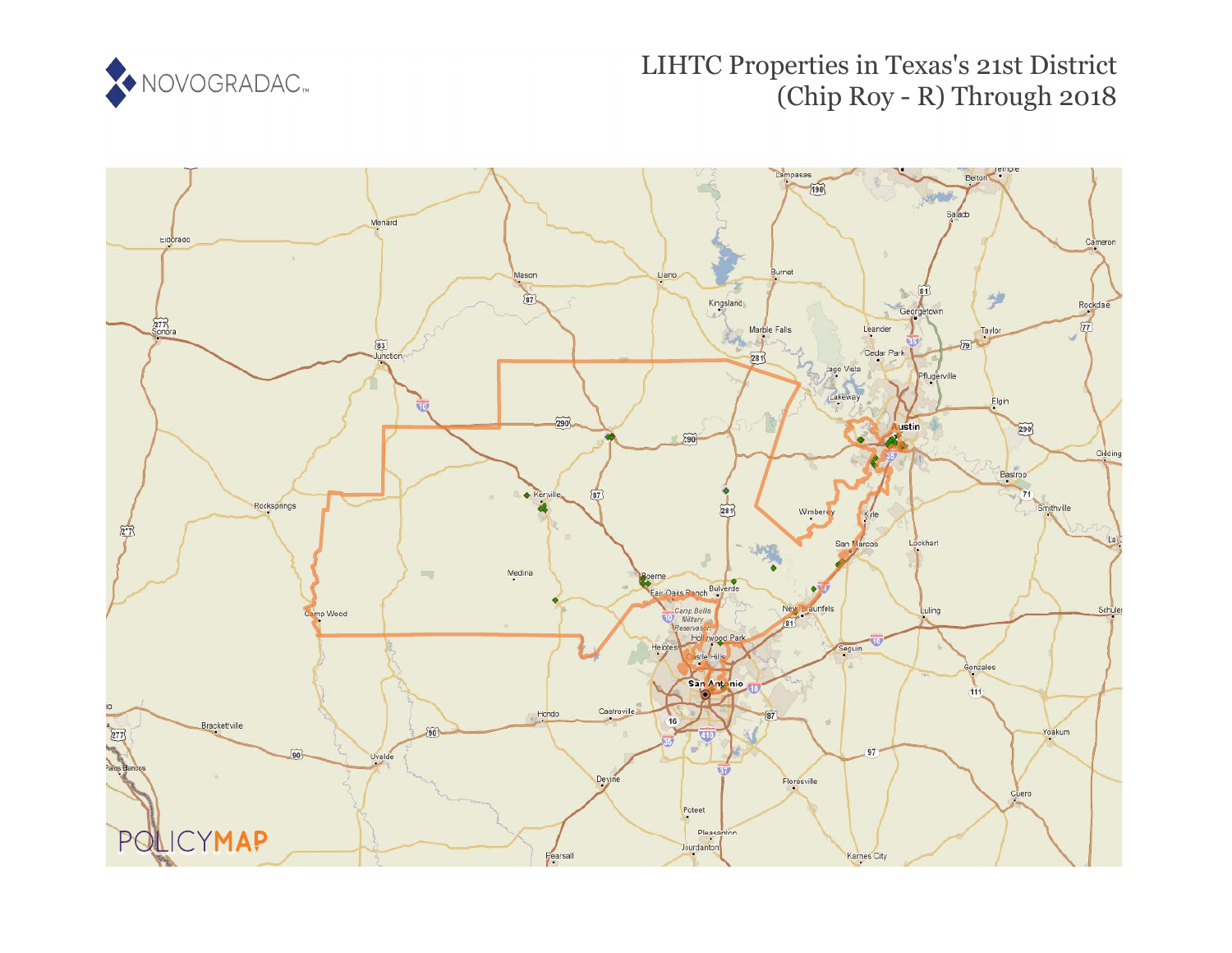

## LIHTC Properties in Texas's 21st District (Chip Roy - R) Through 2018

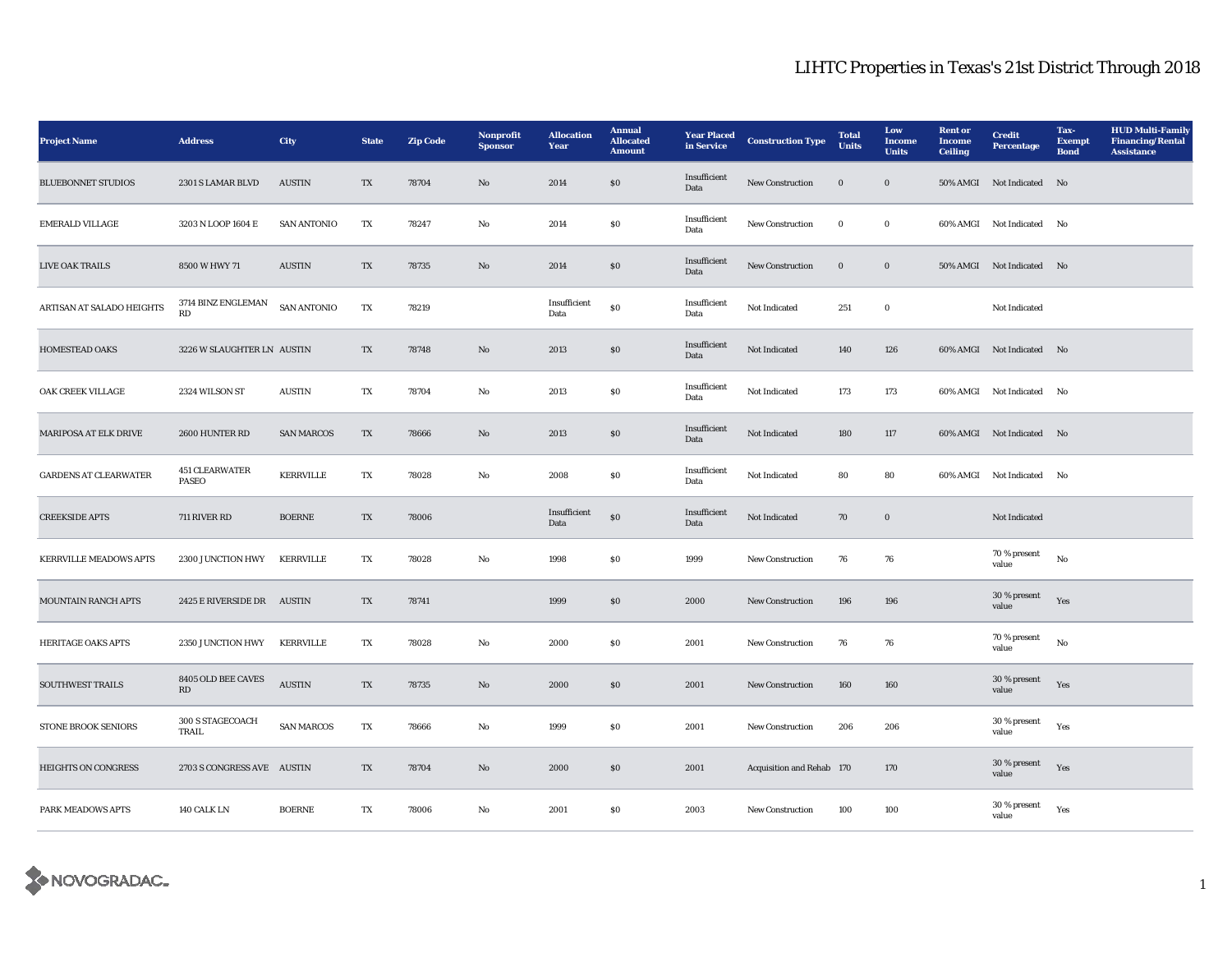## LIHTC Properties in Texas's 21st District Through 2018

| <b>Project Name</b>           | <b>Address</b>                 | City               | <b>State</b> | <b>Zip Code</b> | <b>Nonprofit</b><br><b>Sponsor</b> | <b>Allocation</b><br>Year | <b>Annual</b><br><b>Allocated</b><br><b>Amount</b> | <b>Year Placed</b><br>in Service | <b>Construction Type</b>  | <b>Total</b><br><b>Units</b> | Low<br><b>Income</b><br><b>Units</b> | <b>Rent</b> or<br><b>Income</b><br><b>Ceiling</b> | <b>Credit</b><br><b>Percentage</b> | Tax-<br><b>Exempt</b><br><b>Bond</b> | <b>HUD Multi-Family</b><br><b>Financing/Rental</b><br><b>Assistance</b> |
|-------------------------------|--------------------------------|--------------------|--------------|-----------------|------------------------------------|---------------------------|----------------------------------------------------|----------------------------------|---------------------------|------------------------------|--------------------------------------|---------------------------------------------------|------------------------------------|--------------------------------------|-------------------------------------------------------------------------|
| <b>BLUEBONNET STUDIOS</b>     | 2301 S LAMAR BLVD              | <b>AUSTIN</b>      | TX           | 78704           | No                                 | 2014                      | $\$0$                                              | Insufficient<br>Data             | New Construction          | $\mathbf 0$                  | $\boldsymbol{0}$                     | <b>50% AMGI</b>                                   | Not Indicated                      | No                                   |                                                                         |
| <b>EMERALD VILLAGE</b>        | 3203 N LOOP 1604 E             | <b>SAN ANTONIO</b> | TX           | 78247           | No                                 | 2014                      | \$0                                                | Insufficient<br>Data             | <b>New Construction</b>   | $\bf{0}$                     | $\bf{0}$                             |                                                   | 60% AMGI Not Indicated No          |                                      |                                                                         |
| LIVE OAK TRAILS               | 8500 W HWY 71                  | <b>AUSTIN</b>      | TX           | 78735           | No                                 | 2014                      | \$0\$                                              | Insufficient<br>Data             | <b>New Construction</b>   | $\bf{0}$                     | $\bf{0}$                             |                                                   | 50% AMGI Not Indicated No          |                                      |                                                                         |
| ARTISAN AT SALADO HEIGHTS     | 3714 BINZ ENGLEMAN<br>RD       | <b>SAN ANTONIO</b> | TX           | 78219           |                                    | Insufficient<br>Data      | $\$0$                                              | Insufficient<br>Data             | Not Indicated             | 251                          | $\bf{0}$                             |                                                   | Not Indicated                      |                                      |                                                                         |
| <b>HOMESTEAD OAKS</b>         | 3226 W SLAUGHTER LN AUSTIN     |                    | TX           | 78748           | No                                 | 2013                      | $\boldsymbol{\mathsf{S}}\boldsymbol{\mathsf{0}}$   | Insufficient<br>Data             | Not Indicated             | 140                          | 126                                  |                                                   | 60% AMGI Not Indicated No          |                                      |                                                                         |
| OAK CREEK VILLAGE             | 2324 WILSON ST                 | <b>AUSTIN</b>      | TX           | 78704           | No                                 | 2013                      | <b>SO</b>                                          | Insufficient<br>Data             | Not Indicated             | 173                          | 173                                  |                                                   | 60% AMGI Not Indicated             | No                                   |                                                                         |
| MARIPOSA AT ELK DRIVE         | 2600 HUNTER RD                 | <b>SAN MARCOS</b>  | TX           | 78666           | No                                 | 2013                      | $\boldsymbol{\mathsf{S}}\boldsymbol{\mathsf{0}}$   | Insufficient<br>Data             | Not Indicated             | 180                          | 117                                  |                                                   | 60% AMGI Not Indicated No          |                                      |                                                                         |
| <b>GARDENS AT CLEARWATER</b>  | <b>451 CLEARWATER</b><br>PASEO | <b>KERRVILLE</b>   | TX           | 78028           | No                                 | 2008                      | $\boldsymbol{\mathsf{S}}\boldsymbol{\mathsf{0}}$   | Insufficient<br>Data             | Not Indicated             | 80                           | 80                                   |                                                   | 60% AMGI Not Indicated No          |                                      |                                                                         |
| <b>CREEKSIDE APTS</b>         | 711 RIVER RD                   | <b>BOERNE</b>      | TX           | 78006           |                                    | Insufficient<br>Data      | ${\bf S0}$                                         | Insufficient<br>Data             | Not Indicated             | 70                           | $\boldsymbol{0}$                     |                                                   | Not Indicated                      |                                      |                                                                         |
| <b>KERRVILLE MEADOWS APTS</b> | 2300 JUNCTION HWY              | <b>KERRVILLE</b>   | TX           | 78028           | No                                 | 1998                      | S <sub>0</sub>                                     | 1999                             | New Construction          | 76                           | 76                                   |                                                   | 70 % present<br>value              | $\rm No$                             |                                                                         |
| <b>MOUNTAIN RANCH APTS</b>    | 2425 E RIVERSIDE DR AUSTIN     |                    | TX           | 78741           |                                    | 1999                      | $\$0$                                              | 2000                             | New Construction          | 196                          | 196                                  |                                                   | 30 % present<br>value              | Yes                                  |                                                                         |
| <b>HERITAGE OAKS APTS</b>     | 2350 JUNCTION HWY              | <b>KERRVILLE</b>   | TX           | 78028           | No                                 | 2000                      | \$0                                                | 2001                             | <b>New Construction</b>   | 76                           | 76                                   |                                                   | 70 % present<br>value              | No                                   |                                                                         |
| <b>SOUTHWEST TRAILS</b>       | 8405 OLD BEE CAVES<br>RD       | <b>AUSTIN</b>      | TX           | 78735           | No                                 | 2000                      | \$0\$                                              | 2001                             | <b>New Construction</b>   | 160                          | 160                                  |                                                   | 30 % present<br>value              | Yes                                  |                                                                         |
| <b>STONE BROOK SENIORS</b>    | 300 S STAGECOACH<br>TRAIL      | <b>SAN MARCOS</b>  | TX           | 78666           | No                                 | 1999                      | $\$0$                                              | 2001                             | New Construction          | 206                          | 206                                  |                                                   | 30 % present<br>value              | Yes                                  |                                                                         |
| <b>HEIGHTS ON CONGRESS</b>    | 2703 S CONGRESS AVE AUSTIN     |                    | TX           | 78704           | No                                 | 2000                      | \$0\$                                              | 2001                             | Acquisition and Rehab 170 |                              | 170                                  |                                                   | 30 % present<br>value              | Yes                                  |                                                                         |
| PARK MEADOWS APTS             | 140 CALK LN                    | <b>BOERNE</b>      | TX           | 78006           | No                                 | 2001                      | <b>SO</b>                                          | 2003                             | <b>New Construction</b>   | 100                          | 100                                  |                                                   | 30 % present<br>value              | Yes                                  |                                                                         |

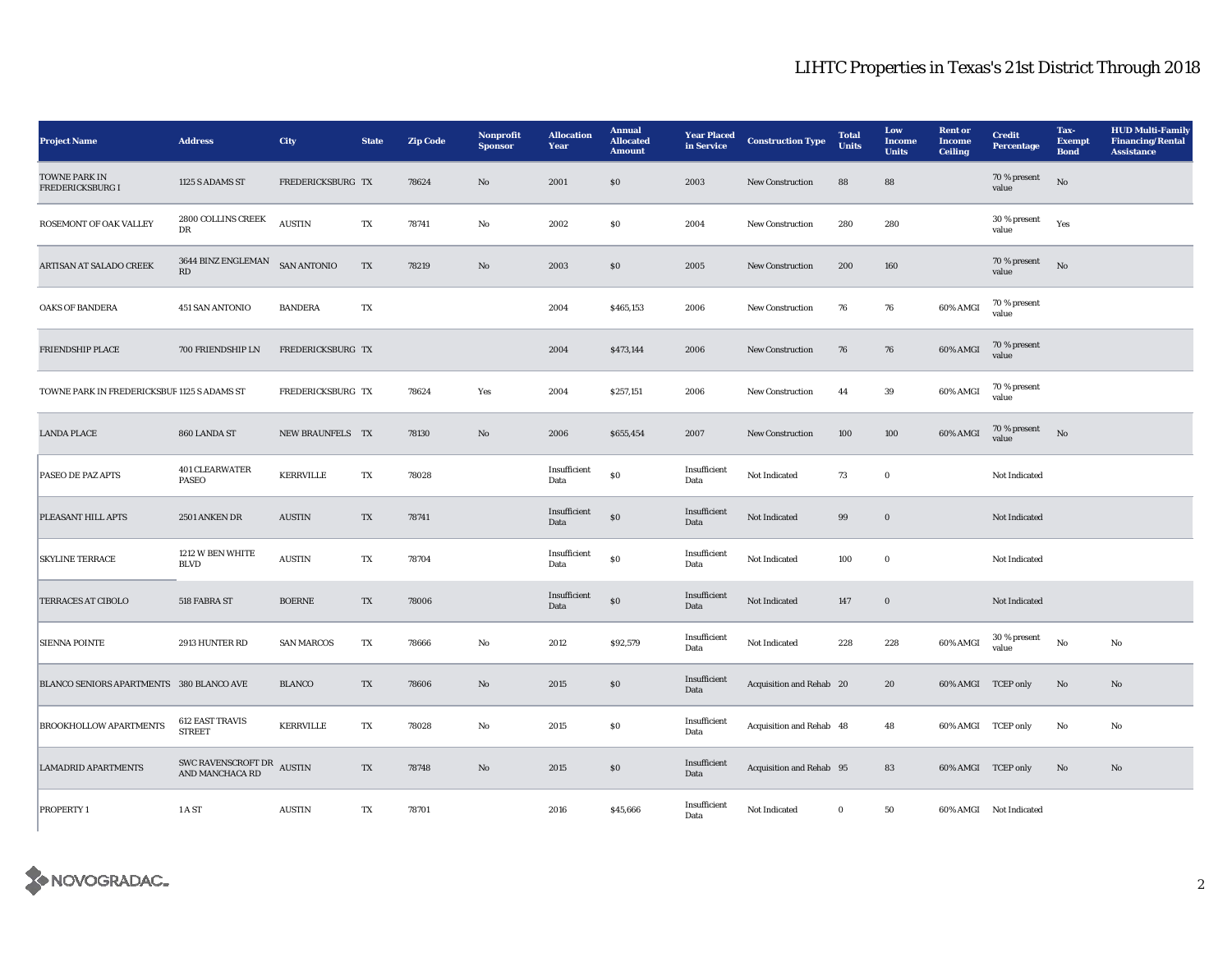## LIHTC Properties in Texas's 21st District Through 2018

| <b>Project Name</b>                        | <b>Address</b>                                  | City               | <b>State</b> | <b>Zip Code</b> | <b>Nonprofit</b><br><b>Sponsor</b> | <b>Allocation</b><br><b>Year</b> | <b>Annual</b><br><b>Allocated</b><br><b>Amount</b> | <b>Year Placed</b><br>in Service | <b>Construction Type</b> | <b>Total</b><br><b>Units</b> | Low<br><b>Income</b><br><b>Units</b> | <b>Rent</b> or<br><b>Income</b><br><b>Ceiling</b> | <b>Credit</b><br><b>Percentage</b> | Tax-<br><b>Exempt</b><br><b>Bond</b> | <b>HUD Multi-Family</b><br><b>Financing/Rental</b><br><b>Assistance</b> |
|--------------------------------------------|-------------------------------------------------|--------------------|--------------|-----------------|------------------------------------|----------------------------------|----------------------------------------------------|----------------------------------|--------------------------|------------------------------|--------------------------------------|---------------------------------------------------|------------------------------------|--------------------------------------|-------------------------------------------------------------------------|
| TOWNE PARK IN<br>FREDERICKSBURG I          | 1125 S ADAMS ST                                 | FREDERICKSBURG TX  |              | 78624           | No                                 | 2001                             | \$0                                                | 2003                             | <b>New Construction</b>  | 88                           | 88                                   |                                                   | 70 % present<br>value              | $_{\rm No}$                          |                                                                         |
| ROSEMONT OF OAK VALLEY                     | 2800 COLLINS CREEK<br>DR                        | <b>AUSTIN</b>      | TX           | 78741           | $_{\rm No}$                        | 2002                             | $\$0$                                              | 2004                             | New Construction         | 280                          | 280                                  |                                                   | 30 % present<br>value              | Yes                                  |                                                                         |
| ARTISAN AT SALADO CREEK                    | 3644 BINZ ENGLEMAN<br>$\mathbf{R}\mathbf{D}$    | <b>SAN ANTONIO</b> | TX           | 78219           | $\mathbf{N}\mathbf{o}$             | 2003                             | \$0                                                | 2005                             | <b>New Construction</b>  | 200                          | 160                                  |                                                   | 70 % present<br>value              | $_{\rm No}$                          |                                                                         |
| <b>OAKS OF BANDERA</b>                     | 451 SAN ANTONIO                                 | <b>BANDERA</b>     | TX           |                 |                                    | 2004                             | \$465,153                                          | 2006                             | <b>New Construction</b>  | 76                           | 76                                   | 60% AMGI                                          | 70 % present<br>value              |                                      |                                                                         |
| FRIENDSHIP PLACE                           | 700 FRIENDSHIP LN                               | FREDERICKSBURG TX  |              |                 |                                    | 2004                             | \$473,144                                          | 2006                             | New Construction         | 76                           | 76                                   | 60% AMGI                                          | 70 % present<br>value              |                                      |                                                                         |
| TOWNE PARK IN FREDERICKSBUR1125 S ADAMS ST |                                                 | FREDERICKSBURG TX  |              | 78624           | Yes                                | 2004                             | \$257,151                                          | 2006                             | New Construction         | 44                           | 39                                   | 60% AMGI                                          | 70 % present<br>value              |                                      |                                                                         |
| <b>LANDA PLACE</b>                         | 860 LANDA ST                                    | NEW BRAUNFELS TX   |              | 78130           | $\mathbf{N}\mathbf{o}$             | 2006                             | \$655,454                                          | 2007                             | <b>New Construction</b>  | 100                          | 100                                  | 60% AMGI                                          | 70 % present<br>value              | No                                   |                                                                         |
| PASEO DE PAZ APTS                          | <b>401 CLEARWATER</b><br><b>PASEO</b>           | <b>KERRVILLE</b>   | TX           | 78028           |                                    | Insufficient<br>Data             | $\$0$                                              | Insufficient<br>Data             | Not Indicated            | 73                           | $\bf{0}$                             |                                                   | Not Indicated                      |                                      |                                                                         |
| PLEASANT HILL APTS                         | 2501 ANKEN DR                                   | <b>AUSTIN</b>      | TX           | 78741           |                                    | Insufficient<br>Data             | $\$0$                                              | Insufficient<br>Data             | Not Indicated            | 99                           | $\bf{0}$                             |                                                   | Not Indicated                      |                                      |                                                                         |
| <b>SKYLINE TERRACE</b>                     | 1212 W BEN WHITE<br><b>BLVD</b>                 | <b>AUSTIN</b>      | TX           | 78704           |                                    | Insufficient<br>Data             | $\bf{S0}$                                          | Insufficient<br>Data             | Not Indicated            | 100                          | $\mathbf 0$                          |                                                   | Not Indicated                      |                                      |                                                                         |
| <b>TERRACES AT CIBOLO</b>                  | 518 FABRA ST                                    | <b>BOERNE</b>      | TX           | 78006           |                                    | Insufficient<br>Data             | $\$0$                                              | Insufficient<br>Data             | Not Indicated            | 147                          | $\boldsymbol{0}$                     |                                                   | Not Indicated                      |                                      |                                                                         |
| <b>SIENNA POINTE</b>                       | 2913 HUNTER RD                                  | <b>SAN MARCOS</b>  | TX           | 78666           | $\mathbf{No}$                      | 2012                             | \$92,579                                           | Insufficient<br>Data             | Not Indicated            | 228                          | 228                                  | 60% AMGI                                          | 30 % present<br>value              | $_{\rm No}$                          | $_{\rm No}$                                                             |
| BLANCO SENIORS APARTMENTS 380 BLANCO AVE   |                                                 | <b>BLANCO</b>      | TX           | 78606           | $\mathbf{N}\mathbf{o}$             | 2015                             | $\$0$                                              | Insufficient<br>Data             | Acquisition and Rehab 20 |                              | 20                                   | 60% AMGI TCEP only                                |                                    | No                                   | $\mathbf{No}$                                                           |
| <b>BROOKHOLLOW APARTMENTS</b>              | <b>612 EAST TRAVIS</b><br><b>STREET</b>         | <b>KERRVILLE</b>   | TX           | 78028           | No                                 | 2015                             | $\$0$                                              | Insufficient<br>Data             | Acquisition and Rehab 48 |                              | 48                                   | 60% AMGI TCEP only                                |                                    | No                                   | No                                                                      |
| <b>LAMADRID APARTMENTS</b>                 | SWC RAVENSCROFT DR<br>AUSTIN<br>AND MANCHACA RD |                    | TX           | 78748           | $\mathbf{N}\mathbf{o}$             | 2015                             | $\$0$                                              | Insufficient<br>Data             | Acquisition and Rehab 95 |                              | 83                                   | 60% AMGI TCEP only                                |                                    | No                                   | $\mathbf{No}$                                                           |
| PROPERTY 1                                 | 1 A ST                                          | <b>AUSTIN</b>      | TX           | 78701           |                                    | 2016                             | \$45,666                                           | Insufficient<br>Data             | Not Indicated            | $\mathbf{0}$                 | 50                                   |                                                   | 60% AMGI Not Indicated             |                                      |                                                                         |

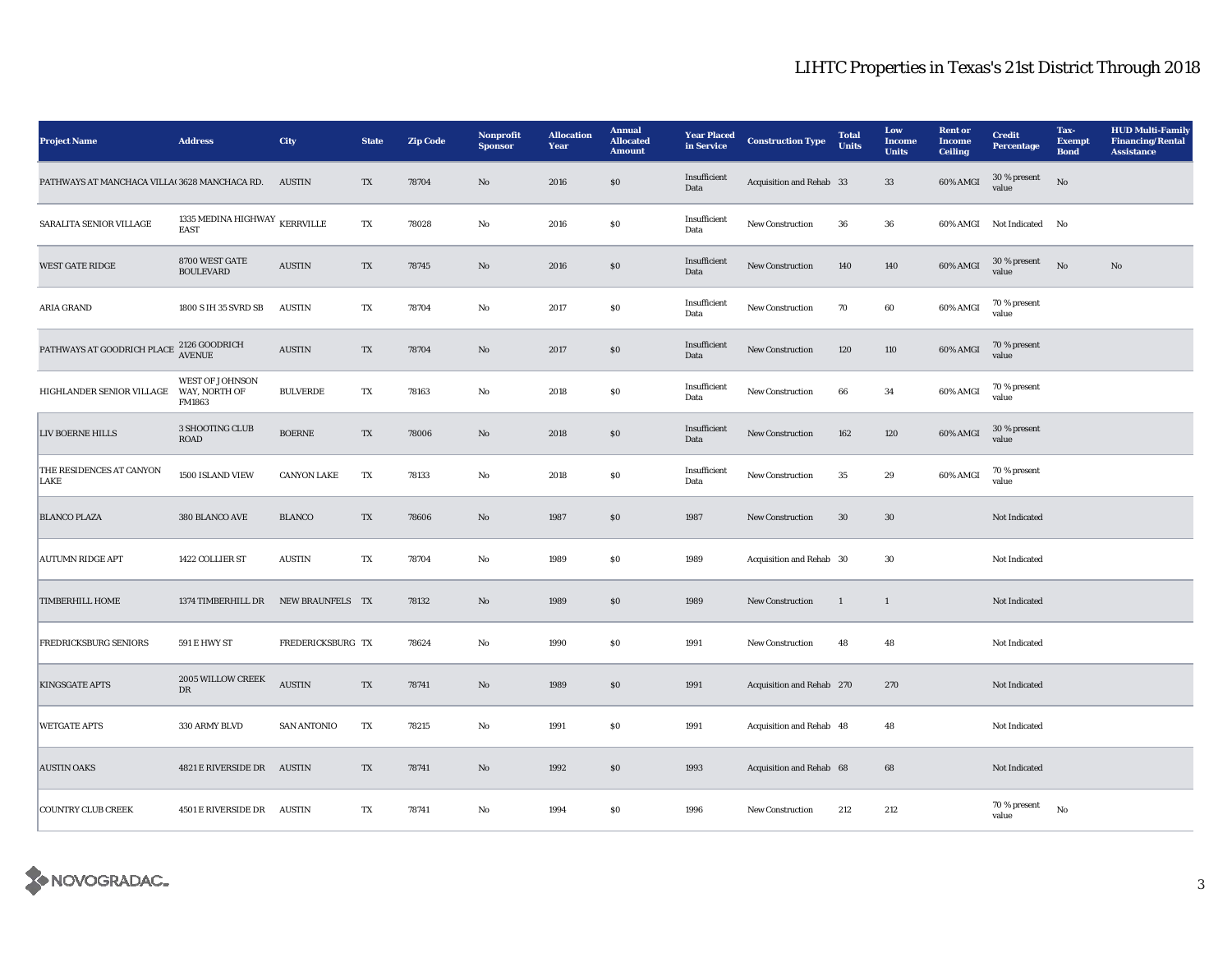## LIHTC Properties in Texas's 21st District Through 2018

| <b>Project Name</b>                                  | <b>Address</b>                                                   | City                           | <b>State</b> | <b>Zip Code</b> | Nonprofit<br><b>Sponsor</b> | <b>Allocation</b><br>Year | <b>Annual</b><br><b>Allocated</b><br><b>Amount</b> | <b>Year Placed</b><br>in Service | <b>Construction Type</b>  | <b>Total</b><br><b>Units</b> | Low<br><b>Income</b><br><b>Units</b> | <b>Rent</b> or<br><b>Income</b><br><b>Ceiling</b> | <b>Credit</b><br><b>Percentage</b> | Tax-<br><b>Exempt</b><br><b>Bond</b> | <b>HUD Multi-Family</b><br><b>Financing/Rental</b><br><b>Assistance</b> |
|------------------------------------------------------|------------------------------------------------------------------|--------------------------------|--------------|-----------------|-----------------------------|---------------------------|----------------------------------------------------|----------------------------------|---------------------------|------------------------------|--------------------------------------|---------------------------------------------------|------------------------------------|--------------------------------------|-------------------------------------------------------------------------|
| PATHWAYS AT MANCHACA VILLA(3628 MANCHACA RD.         |                                                                  | <b>AUSTIN</b>                  | TX           | 78704           | No                          | 2016                      | $\$0$                                              | Insufficient<br>Data             | Acquisition and Rehab 33  |                              | 33                                   | 60% AMGI                                          | 30 % present<br>value              | No                                   |                                                                         |
| SARALITA SENIOR VILLAGE                              | 1335 MEDINA HIGHWAY $\overline{\text{KERRVILLE}}$<br><b>EAST</b> |                                | TX           | 78028           | No                          | 2016                      | $\boldsymbol{\mathsf{S}}\boldsymbol{\mathsf{O}}$   | Insufficient<br>Data             | New Construction          | 36                           | 36                                   |                                                   | 60% AMGI Not Indicated No          |                                      |                                                                         |
| <b>WEST GATE RIDGE</b>                               | 8700 WEST GATE<br><b>BOULEVARD</b>                               | <b>AUSTIN</b>                  | TX           | 78745           | No                          | 2016                      | \$0                                                | Insufficient<br>Data             | New Construction          | 140                          | 140                                  | 60% AMGI                                          | 30 % present<br>value              | No                                   | No                                                                      |
| ARIA GRAND                                           | 1800 S IH 35 SVRD SB                                             | <b>AUSTIN</b>                  | TX           | 78704           | No                          | 2017                      | $\boldsymbol{\mathsf{S}}\boldsymbol{\mathsf{0}}$   | Insufficient<br>Data             | New Construction          | 70                           | 60                                   | 60% AMGI                                          | 70 % present<br>value              |                                      |                                                                         |
| PATHWAYS AT GOODRICH PLACE $\frac{2126}{\rm AVENUE}$ |                                                                  | $\boldsymbol{\mathrm{AUSTIN}}$ | TX           | 78704           | No                          | 2017                      | $\$0$                                              | Insufficient<br>Data             | New Construction          | 120                          | 110                                  | 60% AMGI                                          | 70 % present<br>value              |                                      |                                                                         |
| HIGHLANDER SENIOR VILLAGE                            | <b>WEST OF JOHNSON</b><br>WAY, NORTH OF<br>FM1863                | <b>BULVERDE</b>                | TX           | 78163           | No                          | 2018                      | $\$0$                                              | Insufficient<br>Data             | New Construction          | 66                           | 34                                   | 60% AMGI                                          | 70 % present<br>value              |                                      |                                                                         |
| LIV BOERNE HILLS                                     | 3 SHOOTING CLUB<br><b>ROAD</b>                                   | <b>BOERNE</b>                  | TX           | 78006           | No                          | 2018                      | S <sub>0</sub>                                     | Insufficient<br>Data             | New Construction          | 162                          | 120                                  | 60% AMGI                                          | 30 % present<br>value              |                                      |                                                                         |
| THE RESIDENCES AT CANYON<br>LAKE                     | 1500 ISLAND VIEW                                                 | <b>CANYON LAKE</b>             | TX           | 78133           | No                          | 2018                      | S <sub>0</sub>                                     | Insufficient<br>Data             | New Construction          | 35                           | 29                                   | 60% AMGI                                          | 70 % present<br>value              |                                      |                                                                         |
| <b>BLANCO PLAZA</b>                                  | 380 BLANCO AVE                                                   | <b>BLANCO</b>                  | TX           | 78606           | No                          | 1987                      | $\$0$                                              | 1987                             | <b>New Construction</b>   | 30                           | 30                                   |                                                   | Not Indicated                      |                                      |                                                                         |
| <b>AUTUMN RIDGE APT</b>                              | 1422 COLLIER ST                                                  | <b>AUSTIN</b>                  | TX           | 78704           | No                          | 1989                      | S <sub>0</sub>                                     | 1989                             | Acquisition and Rehab 30  |                              | 30                                   |                                                   | Not Indicated                      |                                      |                                                                         |
| <b>TIMBERHILL HOME</b>                               | 1374 TIMBERHILL DR                                               | NEW BRAUNFELS TX               |              | 78132           | No                          | 1989                      | \$0\$                                              | 1989                             | New Construction          | -1                           | 1                                    |                                                   | Not Indicated                      |                                      |                                                                         |
| FREDRICKSBURG SENIORS                                | 591 E HWY ST                                                     | FREDERICKSBURG TX              |              | 78624           | No                          | 1990                      | <b>SO</b>                                          | 1991                             | New Construction          | 48                           | 48                                   |                                                   | Not Indicated                      |                                      |                                                                         |
| <b>KINGSGATE APTS</b>                                | 2005 WILLOW CREEK<br>DR                                          | $\boldsymbol{\mathrm{AUSTIN}}$ | TX           | 78741           | No                          | 1989                      | \$0\$                                              | 1991                             | Acquisition and Rehab 270 |                              | 270                                  |                                                   | Not Indicated                      |                                      |                                                                         |
| <b>WETGATE APTS</b>                                  | 330 ARMY BLVD                                                    | <b>SAN ANTONIO</b>             | TX           | 78215           | No                          | 1991                      | \$0                                                | 1991                             | Acquisition and Rehab 48  |                              | 48                                   |                                                   | Not Indicated                      |                                      |                                                                         |
| <b>AUSTIN OAKS</b>                                   | 4821 E RIVERSIDE DR AUSTIN                                       |                                | TX           | 78741           | No                          | 1992                      | S <sub>0</sub>                                     | 1993                             | Acquisition and Rehab 68  |                              | 68                                   |                                                   | Not Indicated                      |                                      |                                                                         |
| <b>COUNTRY CLUB CREEK</b>                            | 4501 E RIVERSIDE DR AUSTIN                                       |                                | TX           | 78741           | No                          | 1994                      | <b>SO</b>                                          | 1996                             | <b>New Construction</b>   | 212                          | 212                                  |                                                   | 70 % present<br>value              | No                                   |                                                                         |